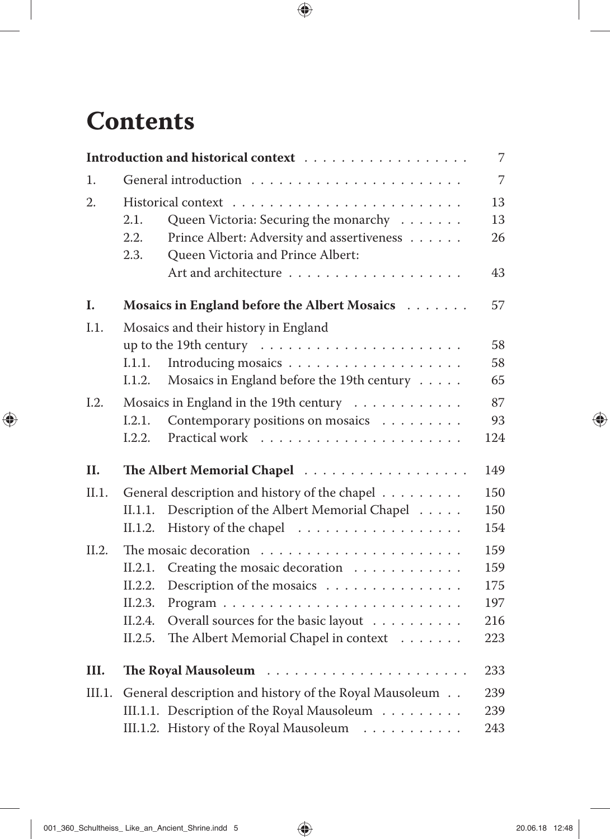## **Contents**

|        |                                                        |                                               | $\overline{7}$ |  |
|--------|--------------------------------------------------------|-----------------------------------------------|----------------|--|
| 1.     |                                                        |                                               |                |  |
| 2.     |                                                        |                                               |                |  |
|        | 2.1.                                                   | Queen Victoria: Securing the monarchy         | 13             |  |
|        | 2.2.                                                   | Prince Albert: Adversity and assertiveness    | 26             |  |
|        | 2.3.                                                   | Queen Victoria and Prince Albert:             |                |  |
|        |                                                        |                                               | 43             |  |
| I.     |                                                        | Mosaics in England before the Albert Mosaics  | 57             |  |
| I.1.   | Mosaics and their history in England                   |                                               |                |  |
|        |                                                        |                                               | 58             |  |
|        | 1.1.1.                                                 |                                               | 58             |  |
|        | 1.1.2.                                                 | Mosaics in England before the 19th century    | 65             |  |
| I.2.   | Mosaics in England in the 19th century                 |                                               |                |  |
|        | I.2.1.                                                 | Contemporary positions on mosaics             | 93             |  |
|        | 1.2.2.                                                 |                                               | 124            |  |
| II.    |                                                        | The Albert Memorial Chapel                    | 149            |  |
| II.1.  |                                                        | General description and history of the chapel | 150            |  |
|        | II.1.1.                                                | Description of the Albert Memorial Chapel     | 150            |  |
|        | II.1.2.                                                | History of the chapel                         | 154            |  |
| II.2.  |                                                        |                                               | 159            |  |
|        | II.2.1.                                                | Creating the mosaic decoration                | 159            |  |
|        | II.2.2.                                                | Description of the mosaics                    | 175            |  |
|        | II.2.3.                                                |                                               | 197            |  |
|        | II.2.4.                                                | Overall sources for the basic layout          | 216            |  |
|        | II.2.5.                                                | The Albert Memorial Chapel in context         | 223            |  |
| III.   | 233                                                    |                                               |                |  |
| III.1. | General description and history of the Royal Mausoleum |                                               |                |  |
|        |                                                        | III.1.1. Description of the Royal Mausoleum   | 239            |  |
|        |                                                        | III.1.2. History of the Royal Mausoleum       | 243            |  |